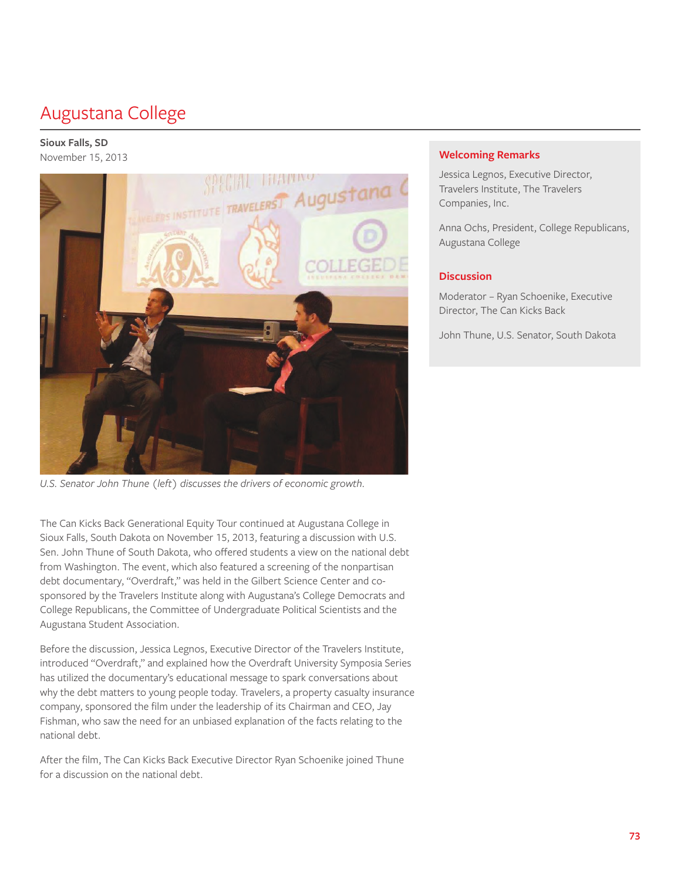# Augustana College

#### **Sioux Falls, SD**  November 15, 2013



U.S. Senator John Thune (left) discusses the drivers of economic growth.

The Can Kicks Back Generational Equity Tour continued at Augustana College in Sioux Falls, South Dakota on November 15, 2013, featuring a discussion with U.S. Sen. John Thune of South Dakota, who offered students a view on the national debt from Washington. The event, which also featured a screening of the nonpartisan debt documentary, "Overdraft," was held in the Gilbert Science Center and cosponsored by the Travelers Institute along with Augustana's College Democrats and College Republicans, the Committee of Undergraduate Political Scientists and the Augustana Student Association.

Before the discussion, Jessica Legnos, Executive Director of the Travelers Institute, introduced "Overdraft," and explained how the Overdraft University Symposia Series has utilized the documentary's educational message to spark conversations about why the debt matters to young people today. Travelers, a property casualty insurance company, sponsored the film under the leadership of its Chairman and CEO, Jay Fishman, who saw the need for an unbiased explanation of the facts relating to the national debt.

After the film, The Can Kicks Back Executive Director Ryan Schoenike joined Thune for a discussion on the national debt.

# **Welcoming Remarks**

Jessica Legnos, Executive Director, Travelers Institute, The Travelers Companies, Inc.

Anna Ochs, President, College Republicans, Augustana College

## **Discussion**

Moderator – Ryan Schoenike, Executive Director, The Can Kicks Back

John Thune, U.S. Senator, South Dakota